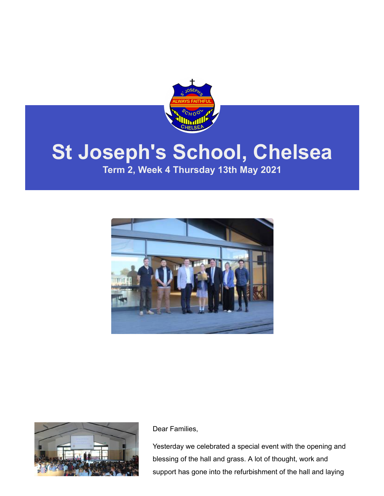

# **St Joseph's School, Chelsea**

**Term 2, Week 4 Thursday 13th May 2021**





Dear Families,

Yesterday we celebrated a special event with the opening and blessing of the hall and grass. A lot of thought, work and support has gone into the refurbishment of the hall and laying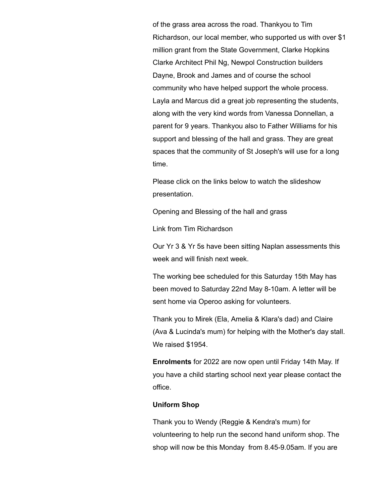of the grass area across the road. Thankyou to Tim Richardson, our local member, who supported us with over \$1 million grant from the State Government, Clarke Hopkins Clarke Architect Phil Ng, Newpol Construction builders Dayne, Brook and James and of course the school community who have helped support the whole process. Layla and Marcus did a great job representing the students, along with the very kind words from Vanessa Donnellan, a parent for 9 years. Thankyou also to Father Williams for his support and blessing of the hall and grass. They are great spaces that the community of St Joseph's will use for a long time.

Please click on the links below to watch the slideshow presentation.

[Opening and Blessing of the hall and grass](https://docs.google.com/presentation/d/1QyOxzu1dHXefDbQUEdxKg5d5GU4r2QTqL2FjmO2zQic/edit?usp=sharing_eil&ts=609c65ad)

[Link from Tim Richardson](https://www.facebook.com/watch/?v=139238504854865)

Our Yr 3 & Yr 5s have been sitting Naplan assessments this week and will finish next week.

The working bee scheduled for this Saturday 15th May has been moved to Saturday 22nd May 8-10am. A letter will be sent home via Operoo asking for volunteers.

Thank you to Mirek (Ela, Amelia & Klara's dad) and Claire (Ava & Lucinda's mum) for helping with the Mother's day stall. We raised \$1954.

**Enrolments** for 2022 are now open until Friday 14th May. If you have a child starting school next year please contact the office.

#### **Uniform Shop**

Thank you to Wendy (Reggie & Kendra's mum) for volunteering to help run the second hand uniform shop. The shop will now be this Monday from 8.45-9.05am. If you are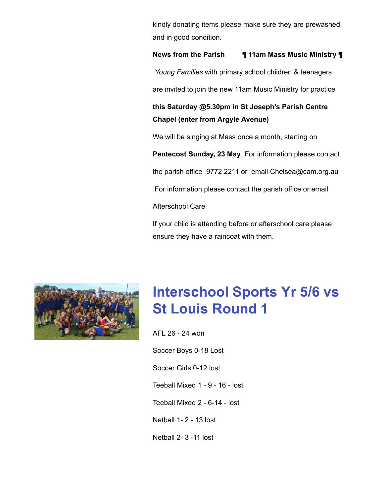kindly donating items please make sure they are prewashed and in good condition.

#### **News from the Parish ¶ 11am Mass Music Ministry ¶**

*Young Families* with primary school children & teenagers

are invited to join the new 11am Music Ministry for practice

### **this Saturday @5.30pm in St Joseph's Parish Centre Chapel (enter from Argyle Avenue)**

We will be singing at Mass once a month, starting on

**Pentecost Sunday, 23 May**. For information please contact

the parish office 9772 2211 or email [Chelsea@cam.org.au](mailto:Chelsea@cam.org.au)

For information please contact the parish office or email

Afterschool Care

If your child is attending before or afterschool care please ensure they have a raincoat with them.



## **Interschool Sports Yr 5/6 vs St Louis Round 1**

AFL 26 - 24 won Soccer Boys 0-18 Lost Soccer Girls 0-12 lost Teeball Mixed 1 - 9 - 16 - lost Teeball Mixed 2 - 6-14 - lost Netball 1- 2 - 13 lost Netball 2- 3 -11 lost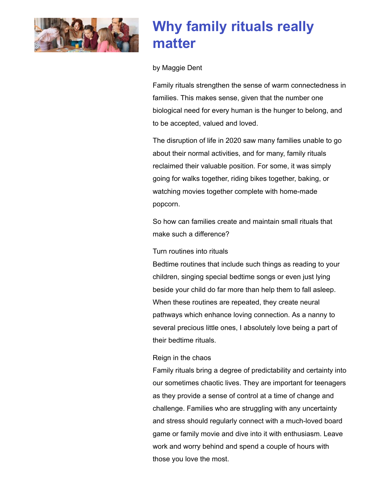

### **Why family rituals really matter**

#### by Maggie Dent

Family rituals strengthen the sense of warm connectedness in families. This makes sense, given that the number one biological need for every human is the hunger to belong, and to be accepted, valued and loved.

The disruption of life in 2020 saw many families unable to go about their normal activities, and for many, family rituals reclaimed their valuable position. For some, it was simply going for walks together, riding bikes together, baking, or watching movies together complete with home-made popcorn.

So how can families create and maintain small rituals that make such a difference?

#### Turn routines into rituals

Bedtime routines that include such things as reading to your children, singing special bedtime songs or even just lying beside your child do far more than help them to fall asleep. When these routines are repeated, they create neural pathways which enhance loving connection. As a nanny to several precious little ones, I absolutely love being a part of their bedtime rituals.

#### Reign in the chaos

Family rituals bring a degree of predictability and certainty into our sometimes chaotic lives. They are important for teenagers as they provide a sense of control at a time of change and challenge. Families who are struggling with any uncertainty and stress should regularly connect with a much-loved board game or family movie and dive into it with enthusiasm. Leave work and worry behind and spend a couple of hours with those you love the most.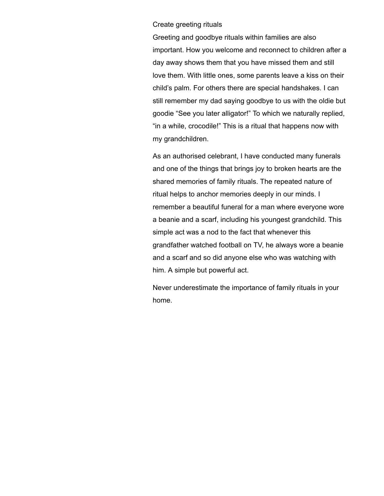#### Create greeting rituals

Greeting and goodbye rituals within families are also important. How you welcome and reconnect to children after a day away shows them that you have missed them and still love them. With little ones, some parents leave a kiss on their child's palm. For others there are special handshakes. I can still remember my dad saying goodbye to us with the oldie but goodie "See you later alligator!" To which we naturally replied, "in a while, crocodile!" This is a ritual that happens now with my grandchildren.

As an authorised celebrant, I have conducted many funerals and one of the things that brings joy to broken hearts are the shared memories of family rituals. The repeated nature of ritual helps to anchor memories deeply in our minds. I remember a beautiful funeral for a man where everyone wore a beanie and a scarf, including his youngest grandchild. This simple act was a nod to the fact that whenever this grandfather watched football on TV, he always wore a beanie and a scarf and so did anyone else who was watching with him. A simple but powerful act.

Never underestimate the importance of family rituals in your home.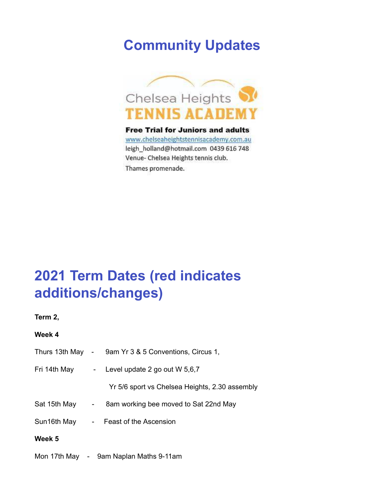### **Community Updates**



**Free Trial for Juniors and adults** www.chelseaheightstennisacademy.com.au leigh\_holland@hotmail.com 0439 616 748 Venue- Chelsea Heights tennis club. Thames promenade.

### **2021 Term Dates (red indicates additions/changes)**

**Term 2,** 

#### **Week 4**

|              | Thurs 13th May - 9am Yr 3 & 5 Conventions, Circus 1, |
|--------------|------------------------------------------------------|
| Fri 14th May | - Level update $2$ go out W $5,6,7$                  |
|              | Yr 5/6 sport vs Chelsea Heights, 2.30 assembly       |
|              | Sat 15th May - 8am working bee moved to Sat 22nd May |
|              | Sun16th May - Feast of the Ascension                 |
| Week 5       |                                                      |
|              | Mon 17th May - 9am Naplan Maths 9-11am               |